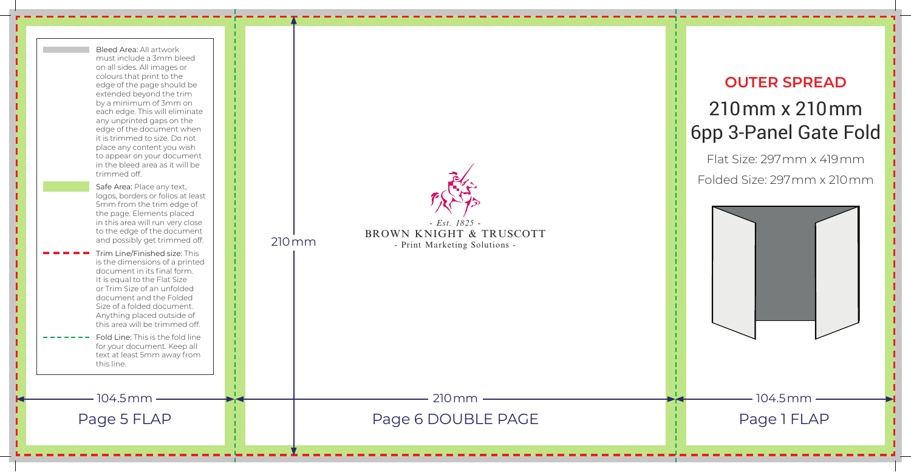## **OUTER SPREAD** 210mm x 210mm 6pp 3-Panel Gate Fold

Flat Size: 297mm x 419mm Folded Size: 297mm x 210mm



*- Est. 1825 -* BROWN KNIGHT & TRUSCOTT - Print Marketing Solutions - Bleed Area: All artwork must include a 3mm bleed on all sides. All images or colours that print to the edge of the page should be extended beyond the trim by a minimum of 3mm on each edge. This will eliminate any unprinted gaps on the edge of the document when it is trimmed to size. Do not place any content you wish to appear on your document in the bleed area as it will be trimmed off. Safe Area: Place any text, logos, borders or folios at least 5mm from the trim edge of the page. Elements placed in this area will run very close to the edge of the document and possibly get trimmed off. Trim Line/Finished size: This is the dimensions of a printed document in its final form. It is equal to the Flat Size or Trim Size of an unfolded document and the Folded Size of a folded document. Anything placed outside of this area will be trimmed off. Fold Line: This is the fold line for your document. Keep all text at least 5mm away from this line. 210mm Page 5 FLAP Page 1 Page 6 DOUBLE PAGE PAGE Page 1 FLAP 104.5mm <del> 3</del>10mm <del> </del>104.5mm 210mm